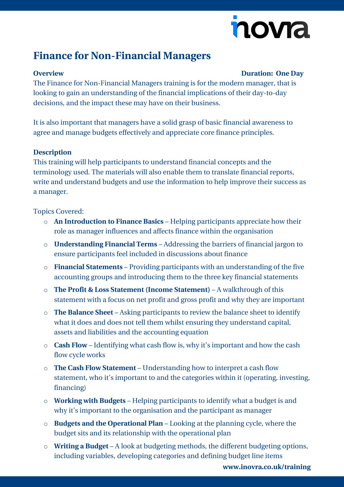# novia

## **Finance for Non-Financial Managers**

### **Overview Duration: One Day**

The Finance for Non-Financial Managers training is for the modern manager, that is looking to gain an understanding of the financial implications of their day-to-day decisions, and the impact these may have on their business.

It is also important that managers have a solid grasp of basic financial awareness to agree and manage budgets effectively and appreciate core finance principles.

#### **Description**

This training will help participants to understand financial concepts and the terminology used. The materials will also enable them to translate financial reports, write and understand budgets and use the information to help improve their success as a manager.

#### Topics Covered:

- o **An Introduction to Finance Basics** Helping participants appreciate how their role as manager influences and affects finance within the organisation
- o **Understanding Financial Terms** Addressing the barriers of financial jargon to ensure participants feel included in discussions about finance
- o **Financial Statements** Providing participants with an understanding of the five accounting groups and introducing them to the three key financial statements
- o **The Profit & Loss Statement (Income Statement)** A walkthrough of this statement with a focus on net profit and gross profit and why they are important
- o **The Balance Sheet** Asking participants to review the balance sheet to identify what it does and does not tell them whilst ensuring they understand capital, assets and liabilities and the accounting equation
- o **Cash Flow** Identifying what cash flow is, why it's important and how the cash flow cycle works
- o **The Cash Flow Statement** Understanding how to interpret a cash flow statement, who it's important to and the categories within it (operating, investing, financing)
- o **Working with Budgets** Helping participants to identify what a budget is and why it's important to the organisation and the participant as manager
- o **Budgets and the Operational Plan** Looking at the planning cycle, where the budget sits and its relationship with the operational plan
- o **Writing a Budget** A look at budgeting methods, the different budgeting options, including variables, developing categories and defining budget line items

**[www.inovra.co.uk/training](http://www.inovra.co.uk/training)**